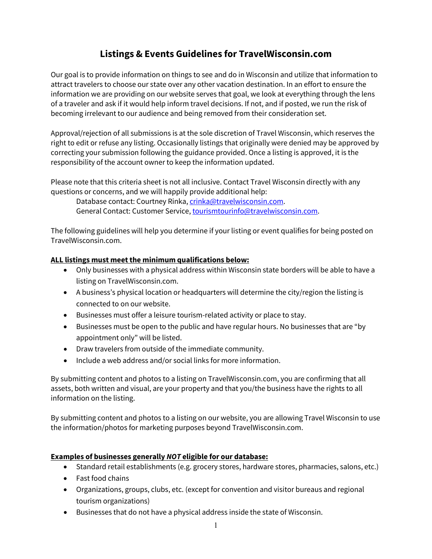# **Listings & Events Guidelines for TravelWisconsin.com**

Our goal is to provide information on things to see and do in Wisconsin and utilize that information to attract travelers to choose our state over any other vacation destination. In an effort to ensure the information we are providing on our website serves that goal, we look at everything through the lens of a traveler and ask if it would help inform travel decisions. If not, and if posted, we run the risk of becoming irrelevant to our audience and being removed from their consideration set.

Approval/rejection of all submissions is at the sole discretion of Travel Wisconsin, which reserves the right to edit or refuse any listing. Occasionally listings that originally were denied may be approved by correcting your submission following the guidance provided. Once a listing is approved, it is the responsibility of the account owner to keep the information updated.

Please note that this criteria sheet is not all inclusive. Contact Travel Wisconsin directly with any questions or concerns, and we will happily provide additional help:

Database contact: Courtney Rinka, [crinka@travelwisconsin.com.](mailto:crinka@travelwisconsin.com) General Contact: Customer Service, [tourismtourinfo@travelwisconsin.com.](mailto:tourismtourinfo@travelwisconsin.com)

The following guidelines will help you determine if your listing or event qualifies for being posted on TravelWisconsin.com.

### **ALL listings must meet the minimum qualifications below:**

- Only businesses with a physical address within Wisconsin state borders will be able to have a listing on TravelWisconsin.com.
- A business's physical location or headquarters will determine the city/region the listing is connected to on our website.
- Businesses must offer a leisure tourism-related activity or place to stay.
- Businesses must be open to the public and have regular hours. No businesses that are "by appointment only" will be listed.
- Draw travelers from outside of the immediate community.
- Include a web address and/or social links for more information.

By submitting content and photos to a listing on TravelWisconsin.com, you are confirming that all assets, both written and visual, are your property and that you/the business have the rights to all information on the listing.

By submitting content and photos to a listing on our website, you are allowing Travel Wisconsin to use the information/photos for marketing purposes beyond TravelWisconsin.com.

### **Examples of businesses generally** *NOT* **eligible for our database:**

- Standard retail establishments (e.g. grocery stores, hardware stores, pharmacies, salons, etc.)
- Fast food chains
- Organizations, groups, clubs, etc. (except for convention and visitor bureaus and regional tourism organizations)
- Businesses that do not have a physical address inside the state of Wisconsin.